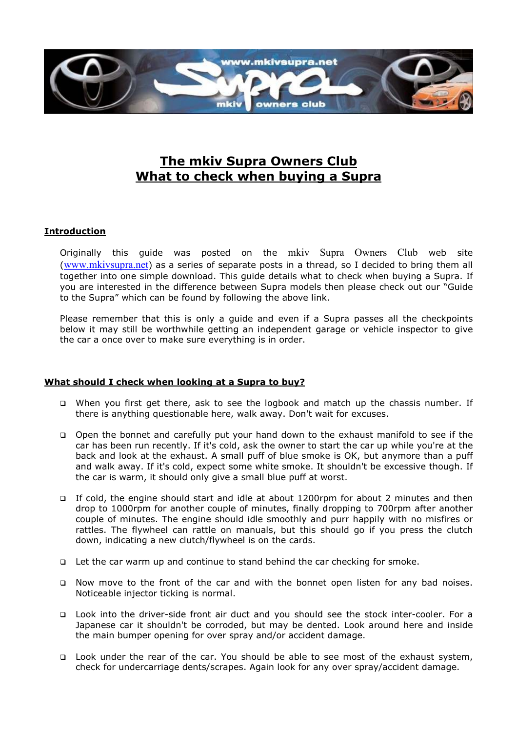

## The mkiv Supra Owners Club What to check when buying a Supra

## **Introduction**

Originally this guide was posted on the mkiv Supra Owners Club web site (www.mkivsupra.net) as a series of separate posts in a thread, so I decided to bring them all together into one simple download. This guide details what to check when buying a Supra. If you are interested in the difference between Supra models then please check out our "Guide to the Supra" which can be found by following the above link.

Please remember that this is only a guide and even if a Supra passes all the checkpoints below it may still be worthwhile getting an independent garage or vehicle inspector to give the car a once over to make sure everything is in order.

## What should I check when looking at a Supra to buy?

- When you first get there, ask to see the logbook and match up the chassis number. If there is anything questionable here, walk away. Don't wait for excuses.
- Open the bonnet and carefully put your hand down to the exhaust manifold to see if the car has been run recently. If it's cold, ask the owner to start the car up while you're at the back and look at the exhaust. A small puff of blue smoke is OK, but anymore than a puff and walk away. If it's cold, expect some white smoke. It shouldn't be excessive though. If the car is warm, it should only give a small blue puff at worst.
- If cold, the engine should start and idle at about 1200rpm for about 2 minutes and then drop to 1000rpm for another couple of minutes, finally dropping to 700rpm after another couple of minutes. The engine should idle smoothly and purr happily with no misfires or rattles. The flywheel can rattle on manuals, but this should go if you press the clutch down, indicating a new clutch/flywheel is on the cards.
- Let the car warm up and continue to stand behind the car checking for smoke.
- Now move to the front of the car and with the bonnet open listen for any bad noises. Noticeable injector ticking is normal.
- Look into the driver-side front air duct and you should see the stock inter-cooler. For a Japanese car it shouldn't be corroded, but may be dented. Look around here and inside the main bumper opening for over spray and/or accident damage.
- Look under the rear of the car. You should be able to see most of the exhaust system, check for undercarriage dents/scrapes. Again look for any over spray/accident damage.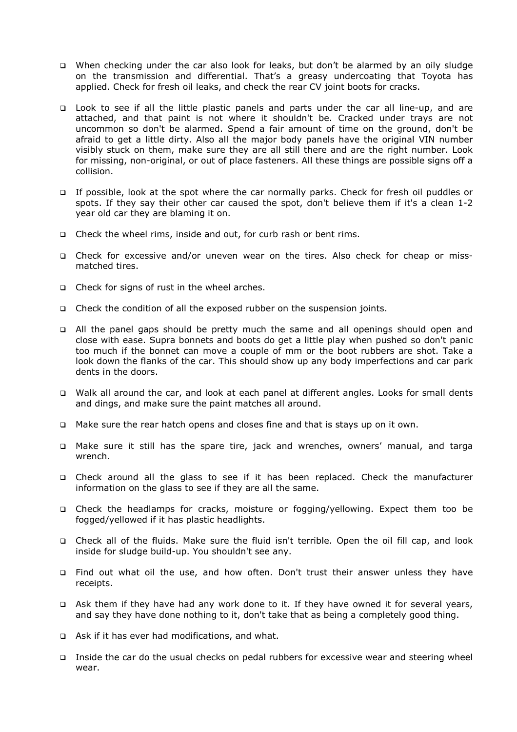- When checking under the car also look for leaks, but don't be alarmed by an oily sludge on the transmission and differential. That's a greasy undercoating that Toyota has applied. Check for fresh oil leaks, and check the rear CV joint boots for cracks.
- □ Look to see if all the little plastic panels and parts under the car all line-up, and are attached, and that paint is not where it shouldn't be. Cracked under trays are not uncommon so don't be alarmed. Spend a fair amount of time on the ground, don't be afraid to get a little dirty. Also all the major body panels have the original VIN number visibly stuck on them, make sure they are all still there and are the right number. Look for missing, non-original, or out of place fasteners. All these things are possible signs off a collision.
- If possible, look at the spot where the car normally parks. Check for fresh oil puddles or spots. If they say their other car caused the spot, don't believe them if it's a clean 1-2 year old car they are blaming it on.
- □ Check the wheel rims, inside and out, for curb rash or bent rims.
- Check for excessive and/or uneven wear on the tires. Also check for cheap or missmatched tires.
- $\Box$  Check for signs of rust in the wheel arches.
- Check the condition of all the exposed rubber on the suspension joints.
- All the panel gaps should be pretty much the same and all openings should open and close with ease. Supra bonnets and boots do get a little play when pushed so don't panic too much if the bonnet can move a couple of mm or the boot rubbers are shot. Take a look down the flanks of the car. This should show up any body imperfections and car park dents in the doors.
- Walk all around the car, and look at each panel at different angles. Looks for small dents and dings, and make sure the paint matches all around.
- Make sure the rear hatch opens and closes fine and that is stays up on it own.
- Make sure it still has the spare tire, jack and wrenches, owners' manual, and targa wrench.
- Check around all the glass to see if it has been replaced. Check the manufacturer information on the glass to see if they are all the same.
- Check the headlamps for cracks, moisture or fogging/yellowing. Expect them too be fogged/yellowed if it has plastic headlights.
- Check all of the fluids. Make sure the fluid isn't terrible. Open the oil fill cap, and look inside for sludge build-up. You shouldn't see any.
- Find out what oil the use, and how often. Don't trust their answer unless they have receipts.
- Ask them if they have had any work done to it. If they have owned it for several years, and say they have done nothing to it, don't take that as being a completely good thing.
- $\Box$  Ask if it has ever had modifications, and what.
- Inside the car do the usual checks on pedal rubbers for excessive wear and steering wheel wear.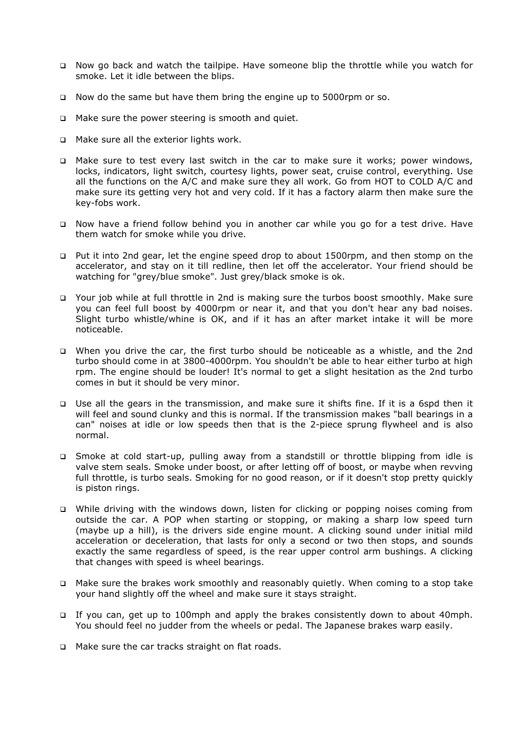- Now go back and watch the tailpipe. Have someone blip the throttle while you watch for smoke. Let it idle between the blips.
- Now do the same but have them bring the engine up to 5000rpm or so.
- □ Make sure the power steering is smooth and quiet.
- □ Make sure all the exterior lights work.
- $\Box$  Make sure to test every last switch in the car to make sure it works; power windows, locks, indicators, light switch, courtesy lights, power seat, cruise control, everything. Use all the functions on the A/C and make sure they all work. Go from HOT to COLD A/C and make sure its getting very hot and very cold. If it has a factory alarm then make sure the key-fobs work.
- Now have a friend follow behind you in another car while you go for a test drive. Have them watch for smoke while you drive.
- Put it into 2nd gear, let the engine speed drop to about 1500rpm, and then stomp on the accelerator, and stay on it till redline, then let off the accelerator. Your friend should be watching for "grey/blue smoke". Just grey/black smoke is ok.
- Your job while at full throttle in 2nd is making sure the turbos boost smoothly. Make sure you can feel full boost by 4000rpm or near it, and that you don't hear any bad noises. Slight turbo whistle/whine is OK, and if it has an after market intake it will be more noticeable.
- When you drive the car, the first turbo should be noticeable as a whistle, and the 2nd turbo should come in at 3800-4000rpm. You shouldn't be able to hear either turbo at high rpm. The engine should be louder! It's normal to get a slight hesitation as the 2nd turbo comes in but it should be very minor.
- Use all the gears in the transmission, and make sure it shifts fine. If it is a 6spd then it will feel and sound clunky and this is normal. If the transmission makes "ball bearings in a can" noises at idle or low speeds then that is the 2-piece sprung flywheel and is also normal.
- Smoke at cold start-up, pulling away from a standstill or throttle blipping from idle is valve stem seals. Smoke under boost, or after letting off of boost, or maybe when revving full throttle, is turbo seals. Smoking for no good reason, or if it doesn't stop pretty quickly is piston rings.
- While driving with the windows down, listen for clicking or popping noises coming from outside the car. A POP when starting or stopping, or making a sharp low speed turn (maybe up a hill), is the drivers side engine mount. A clicking sound under initial mild acceleration or deceleration, that lasts for only a second or two then stops, and sounds exactly the same regardless of speed, is the rear upper control arm bushings. A clicking that changes with speed is wheel bearings.
- $\Box$  Make sure the brakes work smoothly and reasonably quietly. When coming to a stop take your hand slightly off the wheel and make sure it stays straight.
- If you can, get up to 100mph and apply the brakes consistently down to about 40mph. You should feel no judder from the wheels or pedal. The Japanese brakes warp easily.
- □ Make sure the car tracks straight on flat roads.